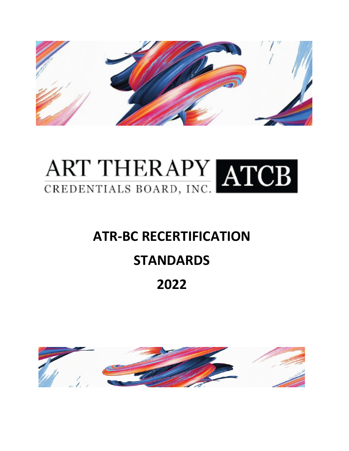

# ART THERAPY ATCB

# **ATR-BC RECERTIFICATION**

# **STANDARDS**

# **2022**

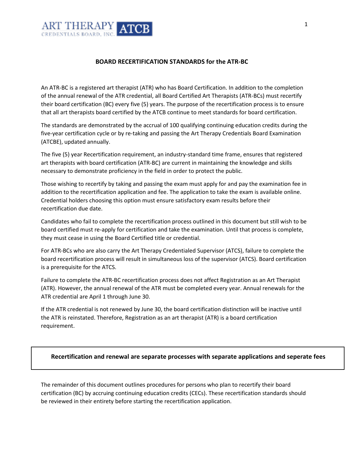

#### **BOARD RECERTIFICATION STANDARDS for the ATR-BC**

An ATR-BC is a registered art therapist (ATR) who has Board Certification. In addition to the completion of the annual renewal of the ATR credential, all Board Certified Art Therapists (ATR-BCs) must recertify their board certification (BC) every five (5) years. The purpose of the recertification process is to ensure that all art therapists board certified by the ATCB continue to meet standards for board certification.

The standards are demonstrated by the accrual of 100 qualifying continuing education credits during the five-year certification cycle or by re-taking and passing the Art Therapy Credentials Board Examination (ATCBE), updated annually.

The five (5) year Recertification requirement, an industry-standard time frame, ensures that registered art therapists with board certification (ATR-BC) are current in maintaining the knowledge and skills necessary to demonstrate proficiency in the field in order to protect the public.

Those wishing to recertify by taking and passing the exam must apply for and pay the examination fee in addition to the recertification application and fee. The application to take the exam is available online. Credential holders choosing this option must ensure satisfactory exam results before their recertification due date.

Candidates who fail to complete the recertification process outlined in this document but still wish to be board certified must re-apply for certification and take the examination. Until that process is complete, they must cease in using the Board Certified title or credential.

For ATR-BCs who are also carry the Art Therapy Credentialed Supervisor (ATCS), failure to complete the board recertification process will result in simultaneous loss of the supervisor (ATCS). Board certification is a prerequisite for the ATCS.

Failure to complete the ATR-BC recertification process does not affect Registration as an Art Therapist (ATR). However, the annual renewal of the ATR must be completed every year. Annual renewals for the ATR credential are April 1 through June 30.

If the ATR credential is not renewed by June 30, the board certification distinction will be inactive until the ATR is reinstated. Therefore, Registration as an art therapist (ATR) is a board certification requirement.

#### **Recertification and renewal are separate processes with separate applications and seperate fees**

The remainder of this document outlines procedures for persons who plan to recertify their board certification (BC) by accruing continuing education credits (CECs). These recertification standards should be reviewed in their entirety before starting the recertification application.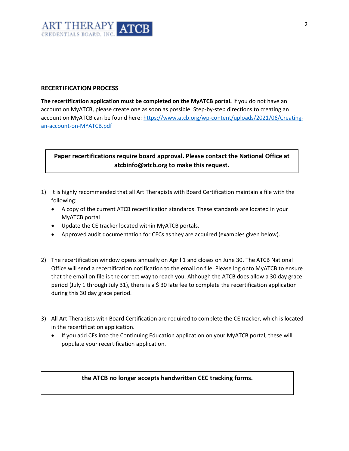

#### **RECERTIFICATION PROCESS**

**The recertification application must be completed on the MyATCB portal.** If you do not have an account on MyATCB, please create one as soon as possible. Step-by-step directions to creating an account on MyATCB can be found here[: https://www.atcb.org/wp-content/uploads/2021/06/Creating](https://www.atcb.org/wp-content/uploads/2021/06/Creating-an-account-on-MYATCB.pdf)[an-account-on-MYATCB.pdf](https://www.atcb.org/wp-content/uploads/2021/06/Creating-an-account-on-MYATCB.pdf)

# **Paper recertifications require board approval. Please contact the National Office at atcbinfo@atcb.org to make this request.**

- 1) It is highly recommended that all Art Therapists with Board Certification maintain a file with the following:
	- A copy of the current ATCB recertification standards. These standards are located in your MyATCB portal
	- Update the CE tracker located within MyATCB portals.
	- Approved audit documentation for CECs as they are acquired (examples given below).
- 2) The recertification window opens annually on April 1 and closes on June 30. The ATCB National Office will send a recertification notification to the email on file. Please log onto MyATCB to ensure that the email on file is the correct way to reach you. Although the ATCB does allow a 30 day grace period (July 1 through July 31), there is a \$ 30 late fee to complete the recertification application during this 30 day grace period.
- 3) All Art Therapists with Board Certification are required to complete the CE tracker, which is located in the recertification application.
	- If you add CEs into the Continuing Education application on your MyATCB portal, these will populate your recertification application.

#### **the ATCB no longer accepts handwritten CEC tracking forms.**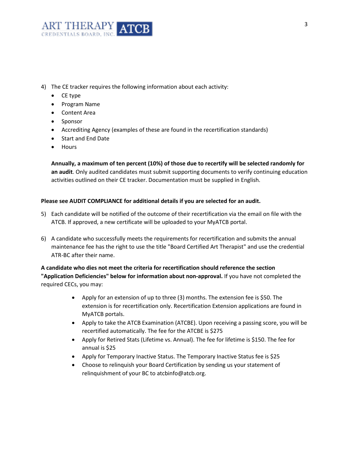

- 4) The CE tracker requires the following information about each activity:
	- CE type
	- Program Name
	- Content Area
	- Sponsor
	- Accrediting Agency (examples of these are found in the recertification standards)
	- Start and End Date
	- Hours

**Annually, a maximum of ten percent (10%) of those due to recertify will be selected randomly for an audit**. Only audited candidates must submit supporting documents to verify continuing education activities outlined on their CE tracker. Documentation must be supplied in English.

#### **Please see AUDIT COMPLIANCE for additional details if you are selected for an audit.**

- 5) Each candidate will be notified of the outcome of their recertification via the email on file with the ATCB. If approved, a new certificate will be uploaded to your MyATCB portal.
- 6) A candidate who successfully meets the requirements for recertification and submits the annual maintenance fee has the right to use the title "Board Certified Art Therapist" and use the credential ATR-BC after their name.

**A candidate who dies not meet the criteria for recertification should reference the section "Application Deficiencies" below for information about non-approval.** If you have not completed the required CECs, you may:

- Apply for an extension of up to three (3) months. The extension fee is \$50. The extension is for recertification only. Recertification Extension applications are found in MyATCB portals.
- Apply to take the ATCB Examination (ATCBE). Upon receiving a passing score, you will be recertified automatically. The fee for the ATCBE is \$275
- Apply for Retired Stats (Lifetime vs. Annual). The fee for lifetime is \$150. The fee for annual is \$25
- Apply for Temporary Inactive Status. The Temporary Inactive Status fee is \$25
- Choose to relinquish your Board Certification by sending us your statement of relinquishment of your BC to atcbinfo@atcb.org.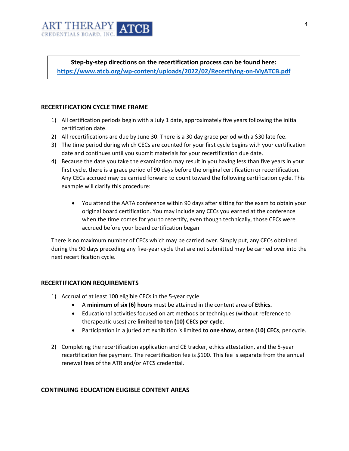

**Step-by-step directions on the recertification process can be found here: <https://www.atcb.org/wp-content/uploads/2022/02/Recertfying-on-MyATCB.pdf>**

#### **RECERTIFICATION CYCLE TIME FRAME**

- 1) All certification periods begin with a July 1 date, approximately five years following the initial certification date.
- 2) All recertifications are due by June 30. There is a 30 day grace period with a \$30 late fee.
- 3) The time period during which CECs are counted for your first cycle begins with your certification date and continues until you submit materials for your recertification due date.
- 4) Because the date you take the examination may result in you having less than five years in your first cycle, there is a grace period of 90 days before the original certification or recertification. Any CECs accrued may be carried forward to count toward the following certification cycle. This example will clarify this procedure:
	- You attend the AATA conference within 90 days after sitting for the exam to obtain your original board certification. You may include any CECs you earned at the conference when the time comes for you to recertify, even though technically, those CECs were accrued before your board certification began

There is no maximum number of CECs which may be carried over. Simply put, any CECs obtained during the 90 days preceding any five-year cycle that are not submitted may be carried over into the next recertification cycle.

## **RECERTIFICATION REQUIREMENTS**

- 1) Accrual of at least 100 eligible CECs in the 5-year cycle
	- A **minimum of six (6) hours** must be attained in the content area of **Ethics.**
	- Educational activities focused on art methods or techniques (without reference to therapeutic uses) are **limited to ten (10) CECs per cycle**.
	- Participation in a juried art exhibition is limited **to one show, or ten (10) CECs**, per cycle.
- 2) Completing the recertification application and CE tracker, ethics attestation, and the 5-year recertification fee payment. The recertification fee is \$100. This fee is separate from the annual renewal fees of the ATR and/or ATCS credential.

## **CONTINUING EDUCATION ELIGIBLE CONTENT AREAS**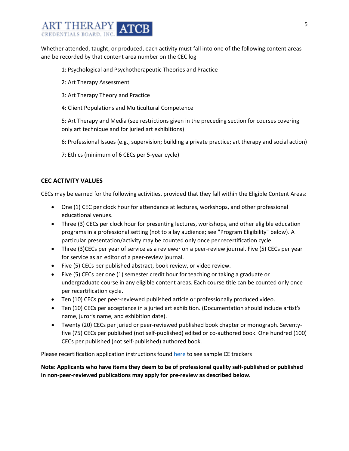

Whether attended, taught, or produced, each activity must fall into one of the following content areas and be recorded by that content area number on the CEC log

#### 1: Psychological and Psychotherapeutic Theories and Practice

- 2: Art Therapy Assessment
- 3: Art Therapy Theory and Practice
- 4: Client Populations and Multicultural Competence

5: Art Therapy and Media (see restrictions given in the preceding section for courses covering only art technique and for juried art exhibitions)

- 6: Professional Issues (e.g., supervision; building a private practice; art therapy and social action)
- 7: Ethics (minimum of 6 CECs per 5-year cycle)

# **CEC ACTIVITY VALUES**

CECs may be earned for the following activities, provided that they fall within the Eligible Content Areas:

- One (1) CEC per clock hour for attendance at lectures, workshops, and other professional educational venues.
- Three (3) CECs per clock hour for presenting lectures, workshops, and other eligible education programs in a professional setting (not to a lay audience; see "Program Eligibility" below). A particular presentation/activity may be counted only once per recertification cycle.
- Three (3)CECs per year of service as a reviewer on a peer-review journal. Five (5) CECs per year for service as an editor of a peer-review journal.
- Five (5) CECs per published abstract, book review, or video review.
- Five (5) CECs per one (1) semester credit hour for teaching or taking a graduate or undergraduate course in any eligible content areas. Each course title can be counted only once per recertification cycle.
- Ten (10) CECs per peer-reviewed published article or professionally produced video.
- Ten (10) CECs per acceptance in a juried art exhibition. (Documentation should include artist's name, juror's name, and exhibition date).
- Twenty (20) CECs per juried or peer-reviewed published book chapter or monograph. Seventyfive (75) CECs per published (not self-published) edited or co-authored book. One hundred (100) CECs per published (not self-published) authored book.

Please recertification application instructions found [here](https://www.atcb.org/wp-content/uploads/2022/02/Recertfying-on-MyATCB.pdf) to see sample CE trackers

**Note: Applicants who have items they deem to be of professional quality self-published or published in non-peer-reviewed publications may apply for pre-review as described below.**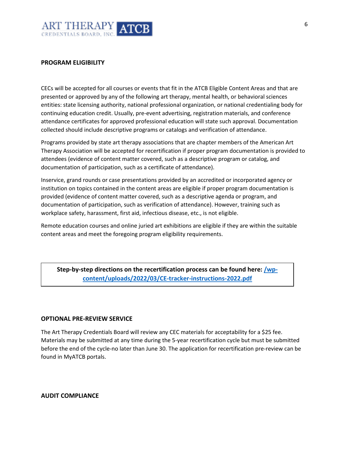

#### **PROGRAM ELIGIBILITY**

CECs will be accepted for all courses or events that fit in the ATCB Eligible Content Areas and that are presented or approved by any of the following art therapy, mental health, or behavioral sciences entities: state licensing authority, national professional organization, or national credentialing body for continuing education credit. Usually, pre-event advertising, registration materials, and conference attendance certificates for approved professional education will state such approval. Documentation collected should include descriptive programs or catalogs and verification of attendance.

Programs provided by state art therapy associations that are chapter members of the American Art Therapy Association will be accepted for recertification if proper program documentation is provided to attendees (evidence of content matter covered, such as a descriptive program or catalog, and documentation of participation, such as a certificate of attendance).

Inservice, grand rounds or case presentations provided by an accredited or incorporated agency or institution on topics contained in the content areas are eligible if proper program documentation is provided (evidence of content matter covered, such as a descriptive agenda or program, and documentation of participation, such as verification of attendance). However, training such as workplace safety, harassment, first aid, infectious disease, etc., is not eligible.

Remote education courses and online juried art exhibitions are eligible if they are within the suitable content areas and meet the foregoing program eligibility requirements.

**Step-by-step directions on the recertification process can be found here: /wpcontent/uploads/2022/03/CE-tracker-instructions-2022.pdf**

#### **OPTIONAL PRE-REVIEW SERVICE**

The Art Therapy Credentials Board will review any CEC materials for acceptability for a \$25 fee. Materials may be submitted at any time during the 5-year recertification cycle but must be submitted before the end of the cycle-no later than June 30. The application for recertification pre-review can be found in MyATCB portals.

#### **AUDIT COMPLIANCE**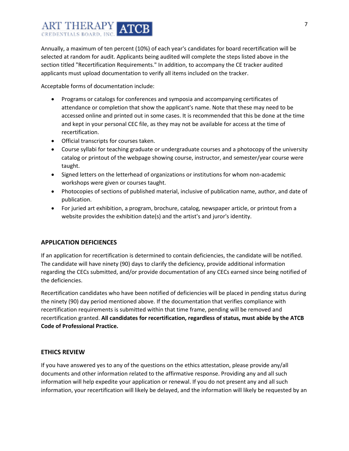

Annually, a maximum of ten percent (10%) of each year's candidates for board recertification will be selected at random for audit. Applicants being audited will complete the steps listed above in the section titled "Recertification Requirements." In addition, to accompany the CE tracker audited applicants must upload documentation to verify all items included on the tracker.

Acceptable forms of documentation include:

- Programs or catalogs for conferences and symposia and accompanying certificates of attendance or completion that show the applicant's name. Note that these may need to be accessed online and printed out in some cases. It is recommended that this be done at the time and kept in your personal CEC file, as they may not be available for access at the time of recertification.
- Official transcripts for courses taken.
- Course syllabi for teaching graduate or undergraduate courses and a photocopy of the university catalog or printout of the webpage showing course, instructor, and semester/year course were taught.
- Signed letters on the letterhead of organizations or institutions for whom non-academic workshops were given or courses taught.
- Photocopies of sections of published material, inclusive of publication name, author, and date of publication.
- For juried art exhibition, a program, brochure, catalog, newspaper article, or printout from a website provides the exhibition date(s) and the artist's and juror's identity.

## **APPLICATION DEFICIENCES**

If an application for recertification is determined to contain deficiencies, the candidate will be notified. The candidate will have ninety (90) days to clarify the deficiency, provide additional information regarding the CECs submitted, and/or provide documentation of any CECs earned since being notified of the deficiencies.

Recertification candidates who have been notified of deficiencies will be placed in pending status during the ninety (90) day period mentioned above. If the documentation that verifies compliance with recertification requirements is submitted within that time frame, pending will be removed and recertification granted. **All candidates for recertification, regardless of status, must abide by the ATCB Code of Professional Practice.**

## **ETHICS REVIEW**

If you have answered yes to any of the questions on the ethics attestation, please provide any/all documents and other information related to the affirmative response. Providing any and all such information will help expedite your application or renewal. If you do not present any and all such information, your recertification will likely be delayed, and the information will likely be requested by an